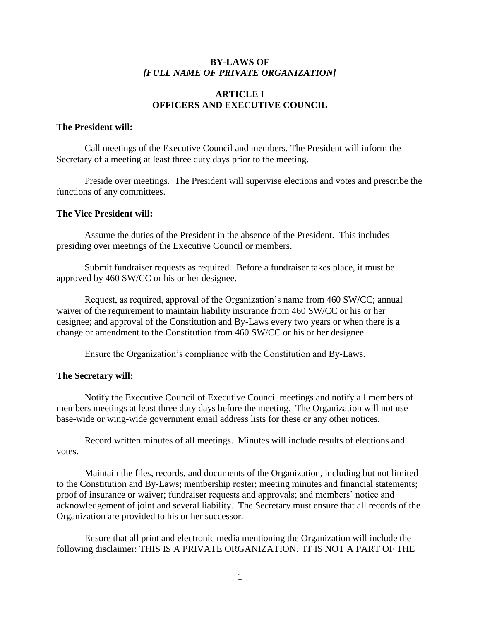## **BY-LAWS OF** *[FULL NAME OF PRIVATE ORGANIZATION]*

## **ARTICLE I OFFICERS AND EXECUTIVE COUNCIL**

#### **The President will:**

Call meetings of the Executive Council and members. The President will inform the Secretary of a meeting at least three duty days prior to the meeting.

Preside over meetings. The President will supervise elections and votes and prescribe the functions of any committees.

#### **The Vice President will:**

Assume the duties of the President in the absence of the President. This includes presiding over meetings of the Executive Council or members.

Submit fundraiser requests as required. Before a fundraiser takes place, it must be approved by 460 SW/CC or his or her designee.

Request, as required, approval of the Organization's name from 460 SW/CC; annual waiver of the requirement to maintain liability insurance from 460 SW/CC or his or her designee; and approval of the Constitution and By-Laws every two years or when there is a change or amendment to the Constitution from 460 SW/CC or his or her designee.

Ensure the Organization's compliance with the Constitution and By-Laws.

## **The Secretary will:**

Notify the Executive Council of Executive Council meetings and notify all members of members meetings at least three duty days before the meeting. The Organization will not use base-wide or wing-wide government email address lists for these or any other notices.

Record written minutes of all meetings. Minutes will include results of elections and votes.

Maintain the files, records, and documents of the Organization, including but not limited to the Constitution and By-Laws; membership roster; meeting minutes and financial statements; proof of insurance or waiver; fundraiser requests and approvals; and members' notice and acknowledgement of joint and several liability. The Secretary must ensure that all records of the Organization are provided to his or her successor.

Ensure that all print and electronic media mentioning the Organization will include the following disclaimer: THIS IS A PRIVATE ORGANIZATION. IT IS NOT A PART OF THE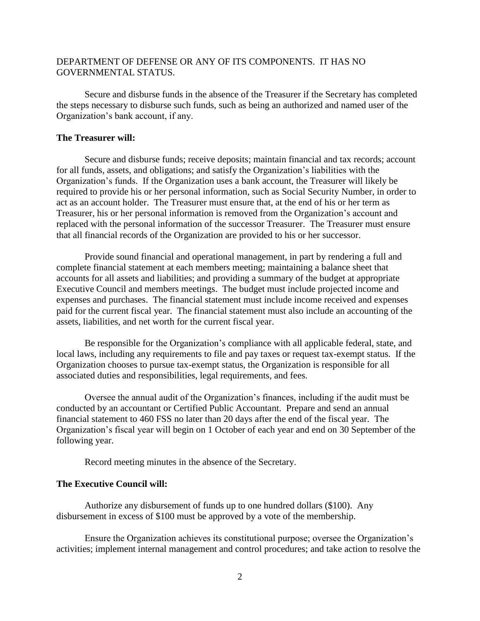## DEPARTMENT OF DEFENSE OR ANY OF ITS COMPONENTS. IT HAS NO GOVERNMENTAL STATUS.

Secure and disburse funds in the absence of the Treasurer if the Secretary has completed the steps necessary to disburse such funds, such as being an authorized and named user of the Organization's bank account, if any.

#### **The Treasurer will:**

Secure and disburse funds; receive deposits; maintain financial and tax records; account for all funds, assets, and obligations; and satisfy the Organization's liabilities with the Organization's funds. If the Organization uses a bank account, the Treasurer will likely be required to provide his or her personal information, such as Social Security Number, in order to act as an account holder. The Treasurer must ensure that, at the end of his or her term as Treasurer, his or her personal information is removed from the Organization's account and replaced with the personal information of the successor Treasurer. The Treasurer must ensure that all financial records of the Organization are provided to his or her successor.

Provide sound financial and operational management, in part by rendering a full and complete financial statement at each members meeting; maintaining a balance sheet that accounts for all assets and liabilities; and providing a summary of the budget at appropriate Executive Council and members meetings. The budget must include projected income and expenses and purchases. The financial statement must include income received and expenses paid for the current fiscal year. The financial statement must also include an accounting of the assets, liabilities, and net worth for the current fiscal year.

Be responsible for the Organization's compliance with all applicable federal, state, and local laws, including any requirements to file and pay taxes or request tax-exempt status. If the Organization chooses to pursue tax-exempt status, the Organization is responsible for all associated duties and responsibilities, legal requirements, and fees.

Oversee the annual audit of the Organization's finances, including if the audit must be conducted by an accountant or Certified Public Accountant. Prepare and send an annual financial statement to 460 FSS no later than 20 days after the end of the fiscal year. The Organization's fiscal year will begin on 1 October of each year and end on 30 September of the following year.

Record meeting minutes in the absence of the Secretary.

#### **The Executive Council will:**

Authorize any disbursement of funds up to one hundred dollars (\$100). Any disbursement in excess of \$100 must be approved by a vote of the membership.

Ensure the Organization achieves its constitutional purpose; oversee the Organization's activities; implement internal management and control procedures; and take action to resolve the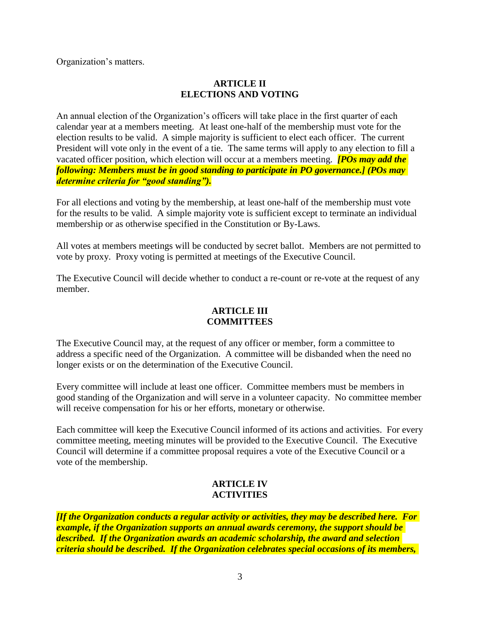Organization's matters.

## **ARTICLE II ELECTIONS AND VOTING**

An annual election of the Organization's officers will take place in the first quarter of each calendar year at a members meeting. At least one-half of the membership must vote for the election results to be valid. A simple majority is sufficient to elect each officer. The current President will vote only in the event of a tie. The same terms will apply to any election to fill a vacated officer position, which election will occur at a members meeting. *[POs may add the following: Members must be in good standing to participate in PO governance.] (POs may determine criteria for "good standing").*

For all elections and voting by the membership, at least one-half of the membership must vote for the results to be valid. A simple majority vote is sufficient except to terminate an individual membership or as otherwise specified in the Constitution or By-Laws.

All votes at members meetings will be conducted by secret ballot. Members are not permitted to vote by proxy. Proxy voting is permitted at meetings of the Executive Council.

The Executive Council will decide whether to conduct a re-count or re-vote at the request of any member.

## **ARTICLE III COMMITTEES**

The Executive Council may, at the request of any officer or member, form a committee to address a specific need of the Organization. A committee will be disbanded when the need no longer exists or on the determination of the Executive Council.

Every committee will include at least one officer. Committee members must be members in good standing of the Organization and will serve in a volunteer capacity. No committee member will receive compensation for his or her efforts, monetary or otherwise.

Each committee will keep the Executive Council informed of its actions and activities. For every committee meeting, meeting minutes will be provided to the Executive Council. The Executive Council will determine if a committee proposal requires a vote of the Executive Council or a vote of the membership.

# **ARTICLE IV ACTIVITIES**

*[If the Organization conducts a regular activity or activities, they may be described here. For example, if the Organization supports an annual awards ceremony, the support should be described. If the Organization awards an academic scholarship, the award and selection criteria should be described. If the Organization celebrates special occasions of its members,*